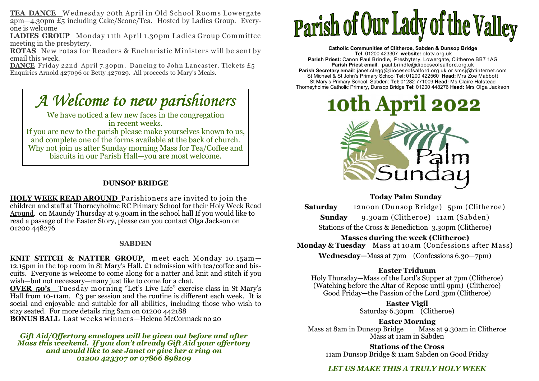**TEA DANCE** Wednesday 20th April in Old School Rooms Lowergate<br>2pm—4.30pm £5 including Cake/Scone/Tea. Hosted by Ladies Group. Everyone is welcome

 **LADIES GROUP** Monday 11th April 1.30pm Ladies Group Committee meeting in the presbytery.

**ROTAS** New rotas for Readers & Eucharistic Ministers will be sent by<br>email this week. email this week.

 **DANCE** Friday 22nd April 7.30pm . Dancing to John Lancaster. Tickets £5 Enquiries Arnold 427096 or Betty 427029. All proceeds to Mary's Meals.

# *A Welcome to new parishioners*

We have noticed a few new faces in the congregation in recent weeks. If you are new to the parish please make yourselves known to us, and complete one of the forms available at the back of church. Why not join us after Sunday morning Mass for Tea/Coffee and biscuits in our Parish Hall—you are most welcome.

### **DUNSOP BRIDGE**

**HOLY WEEK READ AROUND** Parishioners are invited to join the children and staff at Thorneyholme RC Primary School for their <u>Holy Week Read</u> Around. on Maundy Thursday at 9.30am in the school hall If you would like to read a passage of the Easter Story, please can you contact Olga Jackson on 01200 448276

#### **SABDEN**

**KNIT STITCH & NATTER GROUP**, meet each Monday 10.15am—<br>12.15pm in the top room in St Mary's Hall. £1 admission with tea/coffee and biscuits. Everyone is welcome to come along for a natter and knit and stitch if you wish—but not necessary—many just like to come for a chat.

 **OVER 50's** Tuesday m orning "Let's Live Life" exercise class in St Mary's Hall from 10-11am. £3 per session and the routine is different each week. It is social and enjoyable and suitable for all abilities, including those who wish to stay seated. For more details ring Sam on 01200 442188 **BONUS BALL** Last weeks w inners—Helena McCormack no 20

*Gift Aid/Offertory envelopes will be given out before and after Mass this weekend. If you don't already Gift Aid your offertory and would like to see Janet or give her a ring on 01200 423307 or 07866 898109* 

# Parish of Our Lady of the Valley

**Catholic Communities of Clitheroe, Sabden & Dunsop Bridge Tel** 01200 423307 **website:** olotv.org.uk **Parish Priest:** Canon Paul Brindle, Presbytery, Lowergate, Clitheroe BB7 1AG**Parish Priest email**: paul.brindle@dioceseofsalford.org.uk**Parish Secretary email**: janet.clegg@dioceseofsalford.org.uk or smsj@btinternet.com<br>St Michael & St John's Primary School **Tel:** 01200 422560 **Head:** Mrs Zoe Mabbott<br>St Mary's Primary School, Sabden: **Tel:** 01282 771009 Thorneyholme Catholic Primary, Dunsop Bridge **Tel:** 01200 448276 **Head:** Mrs Olga Jackson



## **Today Palm Sunday**

 **Saturday** 12noon (Dunsop Bridge) 5pm (Clitheroe) **Sunday** 9.30am (Clitheroe) 11am (Sabden) Stations of the Cross & Benediction 3.30pm (Clitheroe)

**Masses during the week (Clitheroe) Monday & Tuesday** Mass at 10am (Confessions after Mass)

**Wednesday—**Mass at 7pm (Confessions 6.30—7pm)

#### **Easter Triduum**

 Holy Thursday—Mass of the Lord's Supper at 7pm (Clitheroe) (Watching before the Altar of Repose until 9pm) (Clitheroe) Good Friday—the Passion of the Lord 3pm (Clitheroe)

> **Easter Vigil** Saturday 6.30pm (Clitheroe)

**Easter Morning** Mass at 9.30am in Clitheroe Mass at 8am in Dunsop Bridge Mass at 11am in Sabden

> **Stations of the Cross** 11am Dunsop Bridge & 11am Sabden on Good Friday

# *LET US MAKE THIS A TRULY HOLY WEEK*